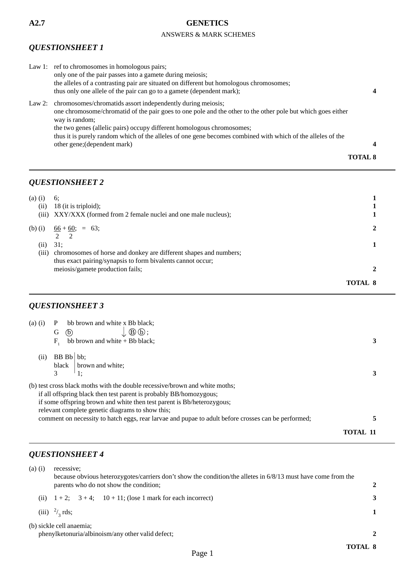#### ANSWERS & MARK SCHEMES

# *QUESTIONSHEET 1*

| Law 1: ref to chromosomes in homologous pairs;                                                              |                |
|-------------------------------------------------------------------------------------------------------------|----------------|
| only one of the pair passes into a gamete during meiosis;                                                   |                |
| the alleles of a contrasting pair are situated on different but homologous chromosomes;                     |                |
| thus only one allele of the pair can go to a gamete (dependent mark);                                       |                |
| Law 2: chromosomes/chromatids assort independently during meiosis;                                          |                |
| one chromosome/chromatid of the pair goes to one pole and the other to the other pole but which goes either |                |
| way is random;                                                                                              |                |
| the two genes (allelic pairs) occupy different homologous chromosomes;                                      |                |
| thus it is purely random which of the alleles of one gene becomes combined with which of the alleles of the |                |
| other gene; (dependent mark)                                                                                | $\overline{a}$ |
|                                                                                                             | TOTAL 8        |

### *QUESTIONSHEET 2*

| $(a)$ $(i)$<br>(ii)<br>(iii) | 6:<br>$18$ (it is triploid);<br>XXY/XXX (formed from 2 female nuclei and one male nucleus);                                      |         |
|------------------------------|----------------------------------------------------------------------------------------------------------------------------------|---------|
| $(b)$ (i)                    | $\frac{66 + 60}{ }$ ; = 63;                                                                                                      | າ       |
| (i)                          | $2 \quad 2$<br>31:                                                                                                               |         |
| (iii)                        | chromosomes of horse and donkey are different shapes and numbers;<br>thus exact pairing/synapsis to form bivalents cannot occur; |         |
|                              | meiosis/gamete production fails;                                                                                                 |         |
|                              |                                                                                                                                  | TOTAL 8 |

# *QUESTIONSHEET 3*

| $(a)$ $(i)$ | bb brown and white x Bb black;                                                                      |          |
|-------------|-----------------------------------------------------------------------------------------------------|----------|
|             | $\Delta\Theta(\mathrm{D})$ ;<br>(b)<br>G                                                            |          |
|             | $F_{\rm a}$<br>bb brown and white $+$ Bb black;                                                     |          |
| (ii)        | BB Bb bb:                                                                                           |          |
|             | brown and white;<br>black                                                                           |          |
|             | 3<br>$\cdot$ 1:                                                                                     |          |
|             | (b) test cross black moths with the double recessive/brown and white moths;                         |          |
|             | if all offspring black then test parent is probably BB/homozygous;                                  |          |
|             | if some offspring brown and white then test parent is Bb/heterozygous;                              |          |
|             | relevant complete genetic diagrams to show this;                                                    |          |
|             | comment on necessity to hatch eggs, rear larvae and pupae to adult before crosses can be performed; |          |
|             |                                                                                                     | TOTAL 11 |

# *QUESTIONSHEET 4*

| $(a)$ $(i)$ | recessive:<br>because obvious heterozygotes/carriers don't show the condition/the alletes in 6/8/13 must have come from the |  |  |  |  |  |
|-------------|-----------------------------------------------------------------------------------------------------------------------------|--|--|--|--|--|
|             | parents who do not show the condition;                                                                                      |  |  |  |  |  |
| (i)         | $1+2$ ; $3+4$ ; $10+11$ ; (lose 1 mark for each incorrect)                                                                  |  |  |  |  |  |
|             | (iii) $^{2}/_{3}$ rds;                                                                                                      |  |  |  |  |  |
|             | (b) sickle cell anaemia;<br>phenylketonuria/albinoism/any other valid defect;                                               |  |  |  |  |  |
|             | TOTAL 8                                                                                                                     |  |  |  |  |  |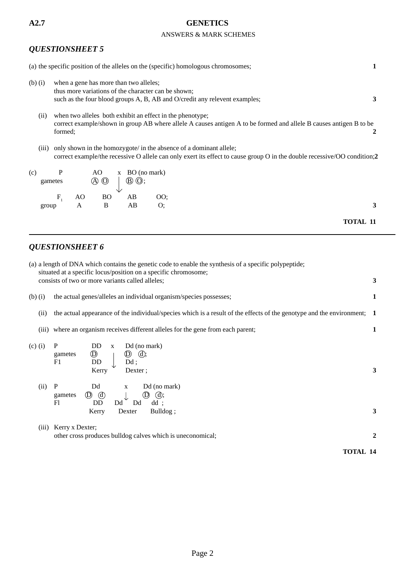#### ANSWERS & MARK SCHEMES

### *QUESTIONSHEET 5*

|             | (a) the specific position of the alleles on the (specific) homologous chromosomes;                                                                                                             | 1               |
|-------------|------------------------------------------------------------------------------------------------------------------------------------------------------------------------------------------------|-----------------|
| $(b)$ $(i)$ | when a gene has more than two alleles;<br>thus more variations of the character can be shown;<br>such as the four blood groups A, B, AB and O/credit any relevent examples;                    | 3               |
| (ii)        | when two alleles both exhibit an effect in the phenotype;<br>correct example/shown in group AB where allele A causes antigen A to be formed and allele B causes antigen B to be<br>formed;     | 2               |
| (iii)       | only shown in the homozygote/ in the absence of a dominant allele;<br>correct example/the recessive O allele can only exert its effect to cause group O in the double recessive/OO condition;2 |                 |
| (c)         | P<br>AO<br>$x$ BO (no mark)<br>$\circledA$<br>$\circled{B}$ $\circled{O}$ ;<br>gametes                                                                                                         |                 |
| group       | $F_{1}$<br>AO<br><b>BO</b><br>AB<br>OO;<br>AB<br>B<br>O;<br>A                                                                                                                                  | 3               |
|             |                                                                                                                                                                                                | <b>TOTAL 11</b> |
|             | <b>QUESTIONSHEET 6</b>                                                                                                                                                                         |                 |
|             | (a) a length of DNA which contains the genetic code to enable the synthesis of a specific polypeptide;                                                                                         |                 |
|             | situated at a specific locus/position on a specific chromosome;<br>consists of two or more variants called alleles;                                                                            | 3               |
| $(b)$ $(i)$ | the actual genes/alleles an individual organism/species possesses;                                                                                                                             | 1               |
| (ii)        | the actual appearance of the individual/species which is a result of the effects of the genotype and the environment;                                                                          | 1               |
|             | (iii) where an organism receives different alleles for the gene from each parent;                                                                                                              | $\mathbf{1}$    |
| $(c)$ $(i)$ | P<br>Dd (no mark)<br><b>DD</b><br>$\mathbf X$<br>$^\circledR$<br>$\mathbb{D}$ $\mathbb{G}$ ;<br>gametes<br>DD<br>$Dd$ ;<br>F1<br>Dexter;                                                       | 3               |
|             | Kerry<br>$\mathbf{r}$ 1.                                                                                                                                                                       |                 |

| (ii)     | $\mathbf{P}$ | Dd                        | X        | Dd (no mark)                  |
|----------|--------------|---------------------------|----------|-------------------------------|
|          | gametes      | $\circledD$ $\circled{0}$ | ↓        | $\circled{D}$ $\circled{d}$ ; |
|          | F1           | DD                        | Dd<br>Dd | $dd$ :                        |
|          |              | Kerry                     | Dexter   | Bulldog;                      |
|          |              |                           |          |                               |
| $\cdots$ |              | $\overline{\phantom{a}}$  |          |                               |

(iii) Kerry x Dexter; other cross produces bulldog calves which is uneconomical; **2**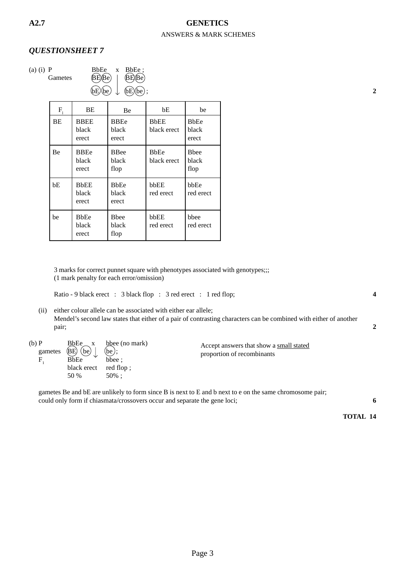#### ANSWERS & MARK SCHEMES **A2.7 GENETICS**

#### *QUESTIONSHEET 7*

(a) (i) P BbEe x BbEe<br>Gametes (BE) Be) | BE)<br>Be Gametes  $\langle BE \rangle (Be)$  |  $\langle BE \rangle (Be)$  $bE$  be  $\downarrow$   $(bE)$  be  $\downarrow$  **2** 

| $F_{i}$   | BE                            | Be                             | bE                         | be                             |
|-----------|-------------------------------|--------------------------------|----------------------------|--------------------------------|
| <b>BE</b> | <b>BBEE</b><br>black<br>erect | <b>BBEe</b><br>black<br>erect  | <b>BbEE</b><br>black erect | <b>B</b> bEe<br>black<br>erect |
| Be        | <b>BBEe</b><br>black<br>erect | <b>B</b> Bee<br>black<br>flop  | <b>BbEe</b><br>black erect | <b>B</b> bee<br>black<br>flop  |
| bE        | <b>BbEE</b><br>black<br>erect | <b>B</b> bEe<br>black<br>erect | bbEE<br>red erect          | bbEe<br>red erect              |
| be        | <b>BbEe</b><br>black<br>erect | <b>B</b> hee<br>black<br>flop  | bbEE<br>red erect          | hbee<br>red erect              |

3 marks for correct punnet square with phenotypes associated with genotypes;;; (1 mark penalty for each error/omission)

Ratio - 9 black erect : 3 black flop : 3 red erect : 1 red flop; **4** 

(ii) either colour allele can be associated with either ear allele; Mendel's second law states that either of a pair of contrasting characters can be combined with either of another pair; **2**

| $(b)$ $P$<br>gametes | BbEe x<br>$\langle BE \rangle$ (be)<br><b>BbEe</b> | bbee (no mark)<br>(be);<br>bbee: | Accept answers that show a small stated<br>proportion of recombinants |
|----------------------|----------------------------------------------------|----------------------------------|-----------------------------------------------------------------------|
|                      | black erect red flop;                              |                                  |                                                                       |
|                      | 50 %                                               | $50\%$ :                         |                                                                       |

gametes Be and bE are unlikely to form since B is next to E and b next to e on the same chromosome pair; could only form if chiasmata/crossovers occur and separate the gene loci; **6**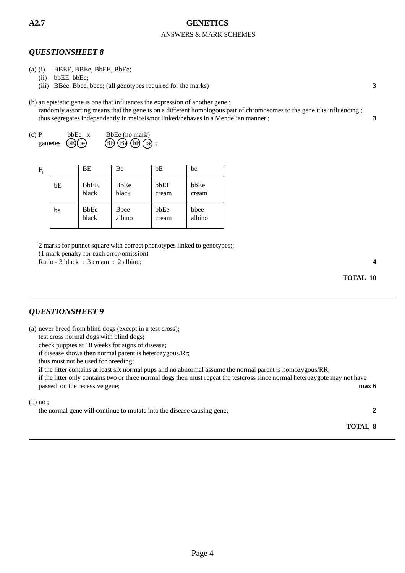#### ANSWERS & MARK SCHEMES

#### *QUESTIONSHEET 8*

- (a) (i) BBEE, BBEe, BbEE, BbEe;
	- (ii) bbEE. bbEe;
	- (iii) BBee, Bbee, bbee; (all genotypes required for the marks) **3**

(b) an epistatic gene is one that influences the expression of another gene ;

randomly assorting means that the gene is on a different homologous pair of chromosomes to the gene it is influencing ; thus segregates independently in meiosis/not linked/behaves in a Mendelian manner ; **3**

(c) P bbEe x BbEe (no mark) gametes  $\widehat{\mathbb{(B)}}$  $\widehat{\mathbb{(B)}}$  $\widehat{\mathbb{(B)}}$  $\widehat{\mathbb{(B)}}$  $\widehat{\mathbb{(b)}}$ ;

| F |    | BΕ                   | Be                     | bE            | be             |
|---|----|----------------------|------------------------|---------------|----------------|
|   | bE | <b>BbEE</b><br>black | <b>BbEe</b><br>black   | bbEE<br>cream | bbEe<br>cream  |
|   | be | <b>BbEe</b><br>black | <b>B</b> bee<br>albino | bbEe<br>cream | bbee<br>albino |

2 marks for punnet square with correct phenotypes linked to genotypes;;

(1 mark penalty for each error/omission)

Ratio - 3 black : 3 cream : 2 albino; **4** 

**TOTAL 10**

#### *QUESTIONSHEET 9*

(a) never breed from blind dogs (except in a test cross);

test cross normal dogs with blind dogs;

check puppies at 10 weeks for signs of disease;

if disease shows then normal parent is heterozygous/Rr;

thus must not be used for breeding;

if the litter contains at least six normal pups and no abnormal assume the normal parent is homozygous/RR;

if the litter only contains two or three normal dogs then must repeat the testcross since normal heterozygote may not have passed on the recessive gene; **max 6** 

#### (b) no ;

the normal gene will continue to mutate into the disease causing gene; **2**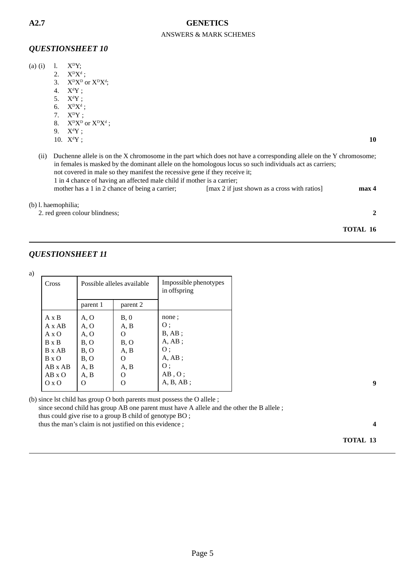#### ANSWERS & MARK SCHEMES

#### *QUESTIONSHEET 10*

|                  |                                                                                                                                                                                                                                                                                                                                                                                                 |  |                                                | $1. \quad X^{\text{D}}Y$ ;                                    |    | $(a)$ $(i)$         |
|------------------|-------------------------------------------------------------------------------------------------------------------------------------------------------------------------------------------------------------------------------------------------------------------------------------------------------------------------------------------------------------------------------------------------|--|------------------------------------------------|---------------------------------------------------------------|----|---------------------|
|                  |                                                                                                                                                                                                                                                                                                                                                                                                 |  |                                                | 2. $X^{\text{D}}X^{\text{d}}$ ;                               |    |                     |
|                  |                                                                                                                                                                                                                                                                                                                                                                                                 |  |                                                | 3. $X^{\text{D}}X^{\text{D}}$ or $X^{\text{D}}X^{\text{d}}$ ; |    |                     |
|                  |                                                                                                                                                                                                                                                                                                                                                                                                 |  |                                                | $X^dY$ ;                                                      | 4. |                     |
|                  |                                                                                                                                                                                                                                                                                                                                                                                                 |  |                                                | 5. $X^dY$ ;                                                   |    |                     |
|                  |                                                                                                                                                                                                                                                                                                                                                                                                 |  |                                                | 6. $X^{D}X^{d}$ ;                                             |    |                     |
|                  |                                                                                                                                                                                                                                                                                                                                                                                                 |  |                                                | 7. $X^DY$ ;                                                   |    |                     |
|                  |                                                                                                                                                                                                                                                                                                                                                                                                 |  |                                                | 8. $X^DX^D$ or $X^DX^d$ ;                                     |    |                     |
|                  |                                                                                                                                                                                                                                                                                                                                                                                                 |  |                                                | $X^dY$ ;                                                      | 9. |                     |
| 10               |                                                                                                                                                                                                                                                                                                                                                                                                 |  |                                                | 10. $X^dY$ ;                                                  |    |                     |
|                  | Duchenne allele is on the X chromosome in the part which does not have a corresponding allele on the Y chromosome;<br>(ii)<br>in females is masked by the dominant allele on the homologous locus so such individuals act as carriers;<br>not covered in male so they manifest the recessive gene if they receive it;<br>1 in 4 chance of having an affected male child if mother is a carrier; |  |                                                |                                                               |    |                     |
| max <sub>4</sub> | [max 2 if just shown as a cross with ratios]                                                                                                                                                                                                                                                                                                                                                    |  | mother has a 1 in 2 chance of being a carrier; |                                                               |    |                     |
|                  |                                                                                                                                                                                                                                                                                                                                                                                                 |  |                                                |                                                               |    | (b) l. haemophilia; |
| 2                |                                                                                                                                                                                                                                                                                                                                                                                                 |  |                                                | 2. red green colour blindness;                                |    |                     |
|                  |                                                                                                                                                                                                                                                                                                                                                                                                 |  |                                                |                                                               |    |                     |
| TOTAL 16         |                                                                                                                                                                                                                                                                                                                                                                                                 |  |                                                |                                                               |    |                     |

### *QUESTIONSHEET 11*

a)

| Cross                                                                                                                                     |                                                              | Possible alleles available                                        | Impossible phenotypes<br>in offspring                                                     |
|-------------------------------------------------------------------------------------------------------------------------------------------|--------------------------------------------------------------|-------------------------------------------------------------------|-------------------------------------------------------------------------------------------|
|                                                                                                                                           | parent 1                                                     | parent 2                                                          |                                                                                           |
| $A \times B$<br>$A \times AB$<br>$A \times O$<br>$B \times B$<br>$B \times AB$<br>$B \times O$<br>$AB \times AB$<br>$AB \times O$<br>O XO | A, O<br>A, O<br>A, O<br>B, O<br>B, O<br>B, O<br>A, B<br>A, B | B, 0<br>A, B<br>O<br>B, O<br>A, B<br>$\Omega$<br>A, B<br>$\Omega$ | none:<br>O :<br>$B, AB$ :<br>A, AB;<br>O :<br>A, AB;<br>υ :<br>$AB$ , O :<br>$A, B, AB$ ; |

(b) since lst child has group O both parents must possess the O allele ; since second child has group AB one parent must have A allele and the other the B allele; thus could give rise to a group B child of genotype BO ; thus the man's claim is not justified on this evidence ; **4**

**9**